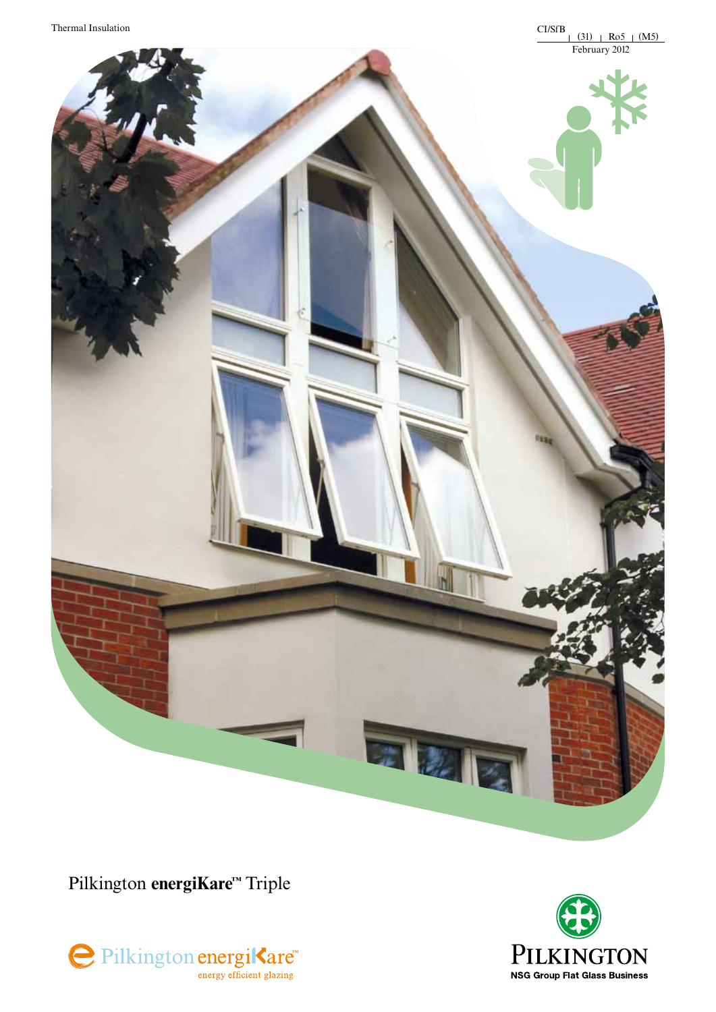

Pilkington energiKare™ Triple





五龙区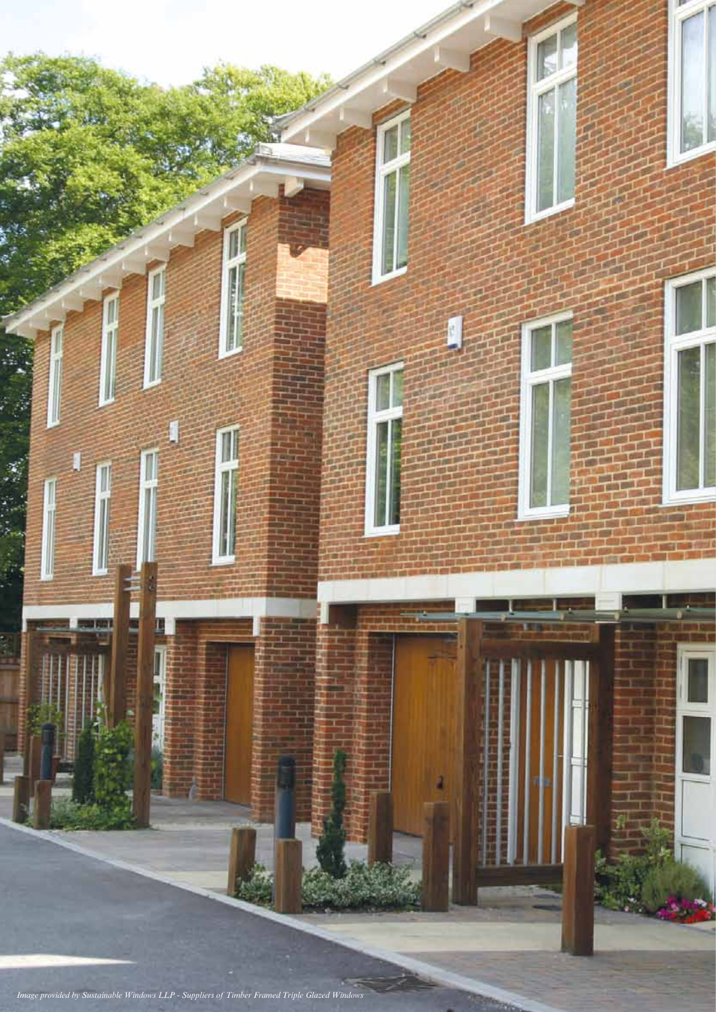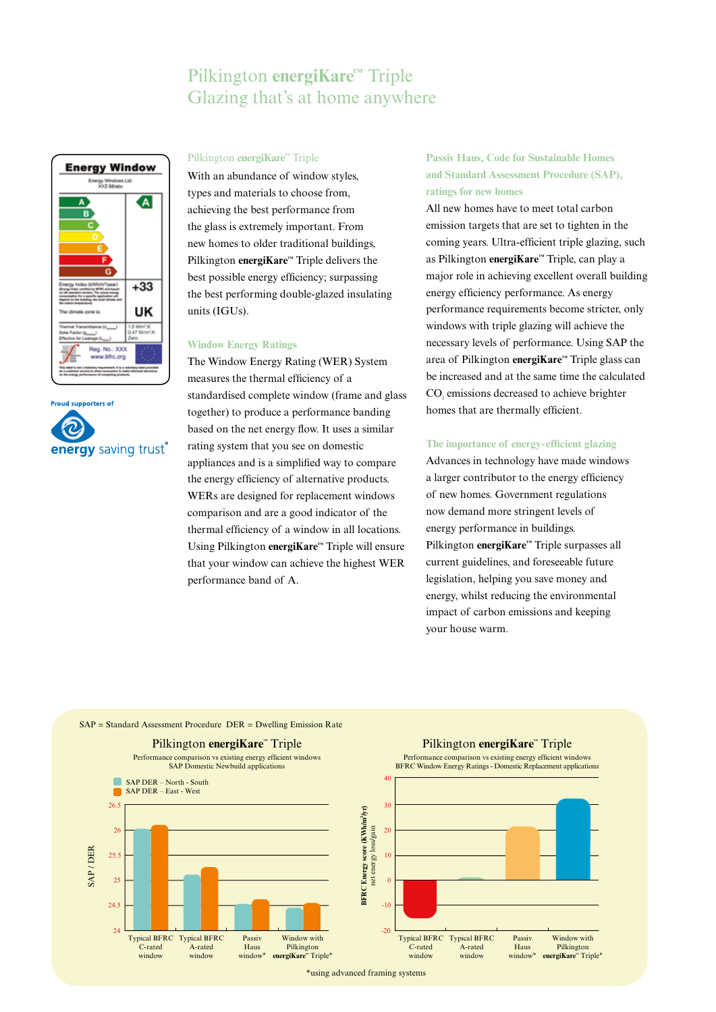## Pilkington **energiKare™** Triple Glazing that's at home anywhere





### Pilkington **energiKare™** Triple

With an abundance of window styles, types and materials to choose from, achieving the best performance from the glass is extremely important. From new homes to older traditional buildings, Pilkington **energiKare™** Triple delivers the best possible energy efficiency; surpassing the best performing double-glazed insulating units (IGUs).

### **Window Energy Ratings**

The Window Energy Rating (WER) System measures the thermal efficiency of a standardised complete window (frame and glass together) to produce a performance banding based on the net energy flow. It uses a similar rating system that you see on domestic appliances and is a simplified way to compare the energy efficiency of alternative products. WERs are designed for replacement windows comparison and are a good indicator of the thermal efficiency of a window in all locations. Using Pilkington **energiKare™** Triple will ensure that your window can achieve the highest WER performance band of A.

## **Passiv Haus, Code for Sustainable Homes and Standard Assessment Procedure (SAP), ratings for new homes**

All new homes have to meet total carbon emission targets that are set to tighten in the coming years. Ultra-efficient triple glazing, such as Pilkington **energiKare™** Triple, can play a major role in achieving excellent overall building energy efficiency performance. As energy performance requirements become stricter, only windows with triple glazing will achieve the necessary levels of performance. Using SAP the area of Pilkington **energiKare™** Triple glass can be increased and at the same time the calculated CO<sub>2</sub> emissions decreased to achieve brighter homes that are thermally efficient.

### **The importance of energy-efficient glazing**

Advances in technology have made windows a larger contributor to the energy efficiency of new homes. Government regulations now demand more stringent levels of energy performance in buildings. Pilkington **energiKare™** Triple surpasses all current guidelines, and foreseeable future legislation, helping you save money and energy, whilst reducing the environmental impact of carbon emissions and keeping your house warm.

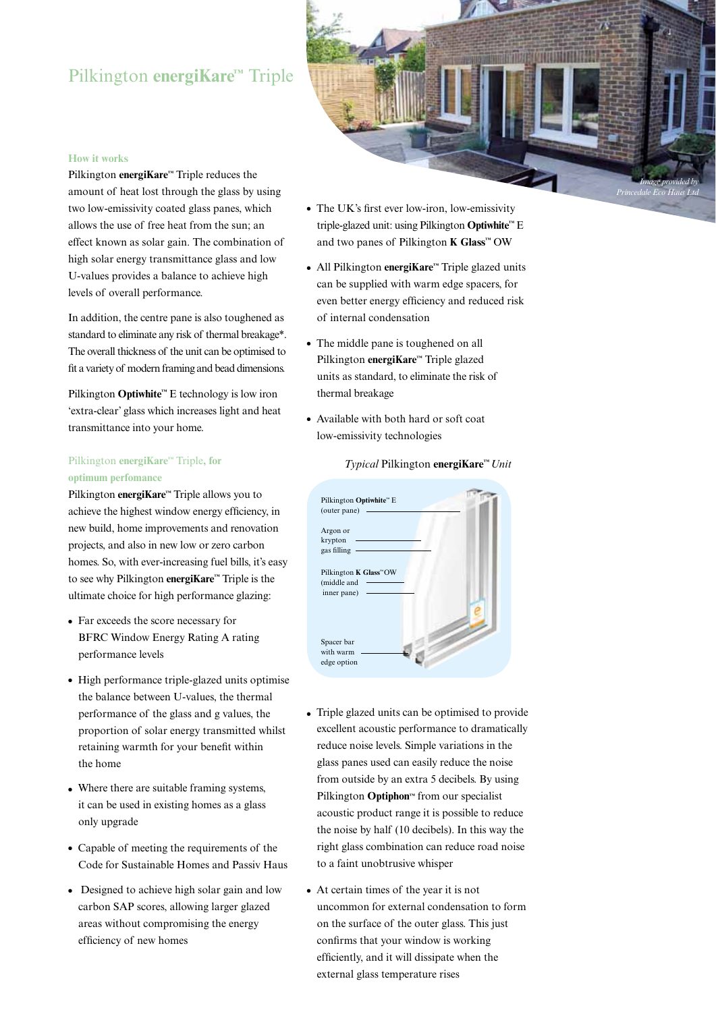## Pilkington **energiKare™** Triple



#### **How it works**

Pilkington **energiKare™** Triple reduces the amount of heat lost through the glass by using two low-emissivity coated glass panes, which allows the use of free heat from the sun; an effect known as solar gain. The combination of high solar energy transmittance glass and low U-values provides a balance to achieve high levels of overall performance.

In addition, the centre pane is also toughened as standard to eliminate any risk of thermal breakage\*. The overall thickness of the unit can be optimised to fit a variety of modern framing and bead dimensions.

Pilkington **Optiwhite™** E technology is low iron 'extra-clear' glass which increases light and heat transmittance into your home.

## Pilkington **energiKare™** Triple**, for optimum perfomance**

Pilkington **energiKare™** Triple allows you to achieve the highest window energy efficiency, in new build, home improvements and renovation projects, and also in new low or zero carbon homes. So, with ever-increasing fuel bills, it's easy to see why Pilkington **energiKare™** Triple is the ultimate choice for high performance glazing:

- Far exceeds the score necessary for BFRC Window Energy Rating A rating performance levels
- High performance triple-glazed units optimise the balance between U-values, the thermal performance of the glass and g values, the proportion of solar energy transmitted whilst retaining warmth for your benefit within the home
- Where there are suitable framing systems, it can be used in existing homes as a glass only upgrade
- Capable of meeting the requirements of the Code for Sustainable Homes and Passiv Haus
- Designed to achieve high solar gain and low carbon SAP scores, allowing larger glazed areas without compromising the energy efficiency of new homes
- The UK's first ever low-iron, low-emissivity triple-glazed unit: using Pilkington **Optiwhite™** E and two panes of Pilkington **K Glass™** OW
- <sup>l</sup> All Pilkington **energiKare™** Triple glazed units can be supplied with warm edge spacers, for even better energy efficiency and reduced risk of internal condensation
- The middle pane is toughened on all Pilkington **energiKare™** Triple glazed units as standard, to eliminate the risk of thermal breakage
- Available with both hard or soft coat low-emissivity technologies

### *Typical* Pilkington **energiKare™** *Unit*

| Pilkington Optiwhite" E<br>(outer pane) |
|-----------------------------------------|
|                                         |
|                                         |
| Argon or                                |
| krypton                                 |
| gas filling                             |
|                                         |
| Pilkington K Glass"OW<br>(middle and    |
| inner pane)                             |
|                                         |
|                                         |
|                                         |
|                                         |
| Spacer bar                              |
| with warm                               |
| edge option                             |

- Triple glazed units can be optimised to provide excellent acoustic performance to dramatically reduce noise levels. Simple variations in the glass panes used can easily reduce the noise from outside by an extra 5 decibels. By using Pilkington **Optiphon™** from our specialist acoustic product range it is possible to reduce the noise by half (10 decibels). In this way the right glass combination can reduce road noise to a faint unobtrusive whisper
- At certain times of the year it is not uncommon for external condensation to form on the surface of the outer glass. This just confirms that your window is working efficiently, and it will dissipate when the external glass temperature rises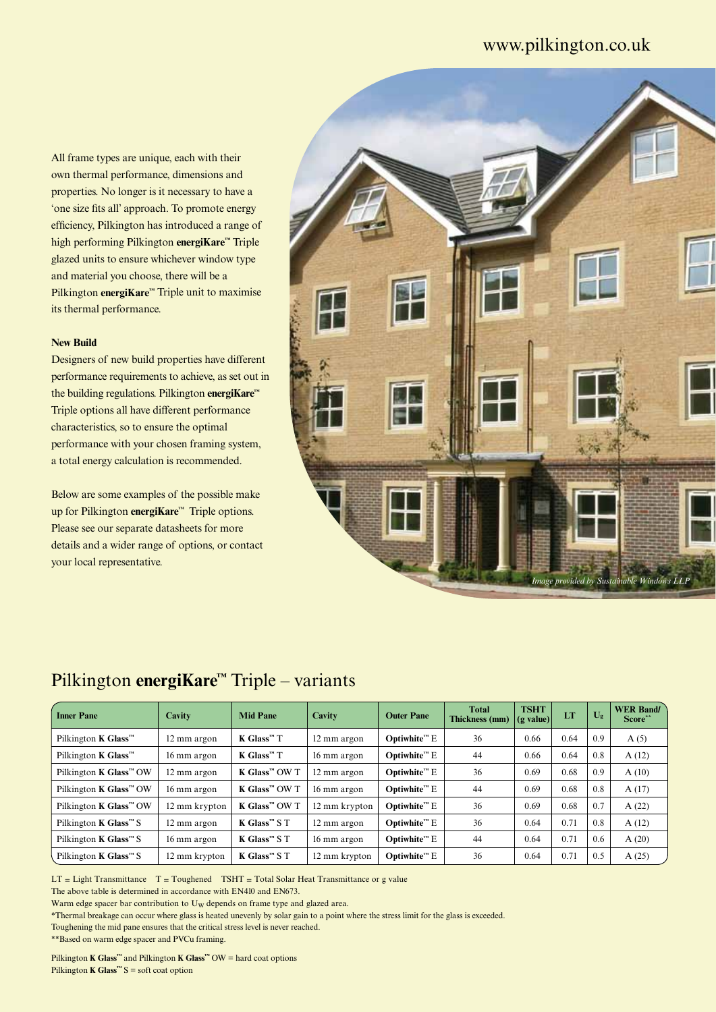## www.pilkington.co.uk

All frame types are unique, each with their own thermal performance, dimensions and properties. No longer is it necessary to have a 'one size fits all' approach. To promote energy efficiency, Pilkington has introduced a range of high performing Pilkington **energiKare™** Triple glazed units to ensure whichever window type and material you choose, there will be a Pilkington **energiKare™** Triple unit to maximise its thermal performance.

### **New Build**

Designers of new build properties have different performance requirements to achieve, as set out in the building regulations. Pilkington **energiKare™** Triple options all have different performance characteristics, so to ensure the optimal performance with your chosen framing system, a total energy calculation is recommended.

Below are some examples of the possible make up for Pilkington **energiKare™** Triple options. Please see our separate datasheets for more details and a wider range of options, or contact your local representative.



## Pilkington **energiKare™** Triple – variants

| <b>Inner Pane</b>                                      | Cavity        | <b>Mid Pane</b>                          | Cavity        | <b>Outer Pane</b>        | <b>Total</b><br><b>Thickness (mm)</b> | <b>TSHT</b><br>$(g$ value) | LT   | $U_{\mathbf{g}}$ | <b>WER Band/</b><br>Score** |
|--------------------------------------------------------|---------------|------------------------------------------|---------------|--------------------------|---------------------------------------|----------------------------|------|------------------|-----------------------------|
| Pilkington <b>K</b> Glass <sup><math>m</math></sup>    | 12 mm argon   | $K$ Glass <sup><math>M</math></sup> T    | 12 mm argon   | $Obtivhitem E$           | 36                                    | 0.66                       | 0.64 | 0.9              | A(5)                        |
| Pilkington <b>K</b> Glass <sup><math>m</math></sup>    | 16 mm argon   | $K$ Glass <sup><math>m</math></sup> T    | 16 mm argon   | $Optimhitem E$           | 44                                    | 0.66                       | 0.64 | 0.8              | A(12)                       |
| Pilkington <b>K</b> Glass <sup><math>m</math> OW</sup> | 12 mm argon   | $K$ Glass <sup><math>m</math></sup> OW T | 12 mm argon   | $Optimhitem E$           | 36                                    | 0.69                       | 0.68 | 0.9              | A(10)                       |
| Pilkington <b>K</b> Glass <sup><math>m</math> OW</sup> | 16 mm argon   | $K$ Glass <sup>134</sup> OW T            | 16 mm argon   | Optiwhite <sup>m</sup> E | 44                                    | 0.69                       | 0.68 | 0.8              | A(17)                       |
| Pilkington <b>K</b> Glass <sup>™</sup> OW              | 12 mm krypton | $K$ Glass <sup><math>m</math></sup> OW T | 12 mm krypton | $Optimhitem E$           | 36                                    | 0.69                       | 0.68 | 0.7              | A(22)                       |
| Pilkington <b>K</b> Glass <sup><math>m</math> S</sup>  | 12 mm argon   | $K$ Glass <sup><math>M</math></sup> S T  | 12 mm argon   | $Optimhitem E$           | 36                                    | 0.64                       | 0.71 | 0.8              | A(12)                       |
| Pilkington <b>K</b> Glass <sup><math>m</math> S</sup>  | 16 mm argon   | $K$ Glass <sup><math>M</math></sup> S T  | 16 mm argon   | $Obtivhitem E$           | 44                                    | 0.64                       | 0.71 | 0.6              | A(20)                       |
| Pilkington <b>K</b> Glass <sup><math>m</math> S</sup>  | 12 mm krypton | $K$ Glass <sup><math>M</math></sup> S T  | 12 mm krypton | Optiwhite <sup>m</sup> E | 36                                    | 0.64                       | 0.71 | 0.5              | A(25)                       |

 $LT = Light Transmittance T = Toughened TSHT = Total Solar Heat Transmittance or g value$ 

The above table is determined in accordance with EN410 and EN673.

Warm edge spacer bar contribution to U<sub>W</sub> depends on frame type and glazed area.

\*Thermal breakage can occur where glass is heated unevenly by solar gain to a point where the stress limit for the glass is exceeded.

Toughening the mid pane ensures that the critical stress level is never reached.

\*\*Based on warm edge spacer and PVCu framing.

Pilkington **K Glass™** and Pilkington **K Glass™** OW = hard coat options Pilkington **K Glass™** S = soft coat option